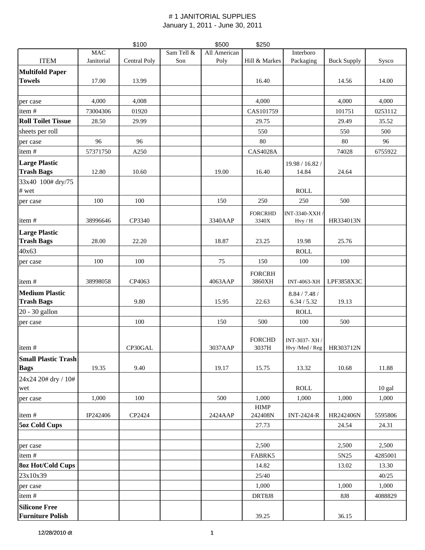|                                                 |            | \$100        |            | \$500        | \$250                   |                          |                    |         |
|-------------------------------------------------|------------|--------------|------------|--------------|-------------------------|--------------------------|--------------------|---------|
|                                                 | <b>MAC</b> |              | Sam Tell & | All American |                         | Interboro                |                    |         |
| <b>ITEM</b>                                     | Janitorial | Central Poly | Son        | Poly         | Hill & Markes           | Packaging                | <b>Buck Supply</b> | Sysco   |
| <b>Multifold Paper</b><br><b>Towels</b>         | 17.00      | 13.99        |            |              | 16.40                   |                          | 14.56              | 14.00   |
|                                                 |            |              |            |              |                         |                          |                    |         |
| per case                                        | 4,000      | 4,008        |            |              | 4,000                   |                          | 4,000              | 4,000   |
| item#                                           | 73004306   | 01920        |            |              | CAS101759               |                          | 101751             | 0253112 |
| <b>Roll Toilet Tissue</b>                       | 28.50      | 29.99        |            |              | 29.75                   |                          | 29.49              | 35.52   |
| sheets per roll                                 |            |              |            |              | 550                     |                          | 550                | 500     |
| per case                                        | 96         | 96           |            |              | 80                      |                          | 80                 | 96      |
| item#                                           | 57371750   | A250         |            |              | <b>CAS4028A</b>         |                          | 74028              | 6755922 |
| <b>Large Plastic</b><br><b>Trash Bags</b>       | 12.80      | 10.60        |            | 19.00        | 16.40                   | 19.98 / 16.82 /<br>14.84 | 24.64              |         |
| 33x40 100# dry/75<br># wet                      |            |              |            |              |                         | <b>ROLL</b>              |                    |         |
| per case                                        | 100        | 100          |            | 150          | 250                     | 250                      | 500                |         |
| item#                                           | 38996646   | CP3340       |            | 3340AAP      | <b>FORCRHD</b><br>3340X | INT-3340-XXH /<br>Hvy/H  | HR334013N          |         |
| <b>Large Plastic</b>                            |            |              |            |              |                         |                          |                    |         |
| <b>Trash Bags</b>                               | 28.00      | 22.20        |            | 18.87        | 23.25                   | 19.98                    | 25.76              |         |
| 40x63                                           |            |              |            |              |                         | <b>ROLL</b>              |                    |         |
| per case                                        | 100        | 100          |            | 75           | 150                     | 100                      | 100                |         |
| item#                                           | 38998058   | CP4063       |            | 4063AAP      | <b>FORCRH</b><br>3860XH | <b>INT-4063-XH</b>       | LPF3858X3C         |         |
| <b>Medium Plastic</b>                           |            |              |            |              |                         | 8.84 / 7.48 /            |                    |         |
| <b>Trash Bags</b>                               |            | 9.80         |            | 15.95        | 22.63                   | 6.34 / 5.32              | 19.13              |         |
| 20 - 30 gallon                                  |            |              |            |              |                         | <b>ROLL</b>              |                    |         |
| per case                                        |            | 100          |            | 150          | 500                     | 100                      | 500                |         |
|                                                 |            |              |            |              | <b>FORCHD</b>           | INT-3037-XH              |                    |         |
| item#                                           |            | CP30GAL      |            | 3037AAP      | 3037H                   | Hvy /Med / Reg           | HR303712N          |         |
| <b>Small Plastic Trash</b>                      |            |              |            |              |                         |                          |                    |         |
| <b>Bags</b>                                     | 19.35      | 9.40         |            | 19.17        | 15.75                   | 13.32                    | 10.68              | 11.88   |
| 24x24 20# dry / 10#<br>wet                      |            |              |            |              |                         | <b>ROLL</b>              |                    | 10 gal  |
| per case                                        | 1,000      | 100          |            | 500          | 1,000<br><b>HIMP</b>    | 1,000                    | 1,000              | 1,000   |
| item#                                           | IP242406   | CP2424       |            | 2424AAP      | 242408N                 | <b>INT-2424-R</b>        | HR242406N          | 5595806 |
| <b>5oz Cold Cups</b>                            |            |              |            |              | 27.73                   |                          | 24.54              | 24.31   |
| per case                                        |            |              |            |              | 2,500                   |                          | 2,500              | 2,500   |
| item#                                           |            |              |            |              | FABRK5                  |                          | 5N25               | 4285001 |
| <b>8oz Hot/Cold Cups</b>                        |            |              |            |              | 14.82                   |                          | 13.02              | 13.30   |
| 23x10x39                                        |            |              |            |              | 25/40                   |                          |                    | 40/25   |
| per case                                        |            |              |            |              | 1,000                   |                          | 1,000              | 1,000   |
| item#                                           |            |              |            |              | DRT8J8                  |                          | <b>8J8</b>         | 4088829 |
| <b>Silicone Free</b><br><b>Furniture Polish</b> |            |              |            |              | 39.25                   |                          | 36.15              |         |
|                                                 |            |              |            |              |                         |                          |                    |         |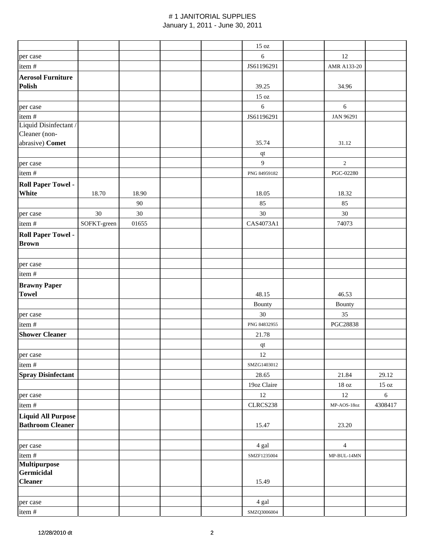|                                           |             |        |  | $15\ \mathrm{oz}$ |                   |                 |
|-------------------------------------------|-------------|--------|--|-------------------|-------------------|-----------------|
| per case                                  |             |        |  | $\sqrt{6}$        | 12                |                 |
| item#                                     |             |        |  | JS61196291        | AMR A133-20       |                 |
| <b>Aerosol Furniture</b>                  |             |        |  |                   |                   |                 |
| <b>Polish</b>                             |             |        |  | 39.25             | 34.96             |                 |
|                                           |             |        |  | $15\ \mathrm{oz}$ |                   |                 |
| per case                                  |             |        |  | $\sqrt{6}$        | 6                 |                 |
| item#                                     |             |        |  | JS61196291        | JAN 96291         |                 |
| Liquid Disinfectant /                     |             |        |  |                   |                   |                 |
| Cleaner (non-                             |             |        |  |                   |                   |                 |
| abrasive) Comet                           |             |        |  | 35.74             | 31.12             |                 |
|                                           |             |        |  | $\bf qt$          |                   |                 |
| per case                                  |             |        |  | 9                 | 2                 |                 |
| item#                                     |             |        |  | PNG 84959182      | PGC-02280         |                 |
| <b>Roll Paper Towel -</b>                 |             |        |  |                   |                   |                 |
| White                                     | 18.70       | 18.90  |  | 18.05             | 18.32             |                 |
|                                           |             | $90\,$ |  | 85                | 85                |                 |
| per case                                  | 30          | 30     |  | 30                | $30\,$            |                 |
| item#                                     | SOFKT-green | 01655  |  | CAS4073A1         | 74073             |                 |
|                                           |             |        |  |                   |                   |                 |
| <b>Roll Paper Towel -</b><br><b>Brown</b> |             |        |  |                   |                   |                 |
|                                           |             |        |  |                   |                   |                 |
|                                           |             |        |  |                   |                   |                 |
| per case                                  |             |        |  |                   |                   |                 |
| item#                                     |             |        |  |                   |                   |                 |
| <b>Brawny Paper</b>                       |             |        |  |                   |                   |                 |
| <b>Towel</b>                              |             |        |  | 48.15             | 46.53             |                 |
|                                           |             |        |  | Bounty            | Bounty            |                 |
| per case                                  |             |        |  | $30\,$            | 35                |                 |
| item#                                     |             |        |  | PNG 84832955      | PGC28838          |                 |
| <b>Shower Cleaner</b>                     |             |        |  | 21.78             |                   |                 |
|                                           |             |        |  | $\bf qt$          |                   |                 |
| per case                                  |             |        |  | $12\,$            |                   |                 |
| item #                                    |             |        |  | SMZG1403012       |                   |                 |
| <b>Spray Disinfectant</b>                 |             |        |  | 28.65             | 21.84             | 29.12           |
|                                           |             |        |  | 19oz Claire       | $18\ \mathrm{oz}$ | $15 \text{ oz}$ |
| per case                                  |             |        |  | 12                | 12                | 6               |
| item#                                     |             |        |  | CLRCS238          | MP-AOS-18oz       | 4308417         |
| <b>Liquid All Purpose</b>                 |             |        |  |                   |                   |                 |
| <b>Bathroom Cleaner</b>                   |             |        |  | 15.47             | 23.20             |                 |
|                                           |             |        |  |                   |                   |                 |
| per case                                  |             |        |  | 4 gal             | $\overline{4}$    |                 |
| item #                                    |             |        |  | SMZF1235004       | $MP-BUL-14MN$     |                 |
| <b>Multipurpose</b>                       |             |        |  |                   |                   |                 |
| Germicidal                                |             |        |  |                   |                   |                 |
| <b>Cleaner</b>                            |             |        |  | 15.49             |                   |                 |
|                                           |             |        |  |                   |                   |                 |
| per case                                  |             |        |  | 4 gal             |                   |                 |
| item#                                     |             |        |  | SMZQ3006004       |                   |                 |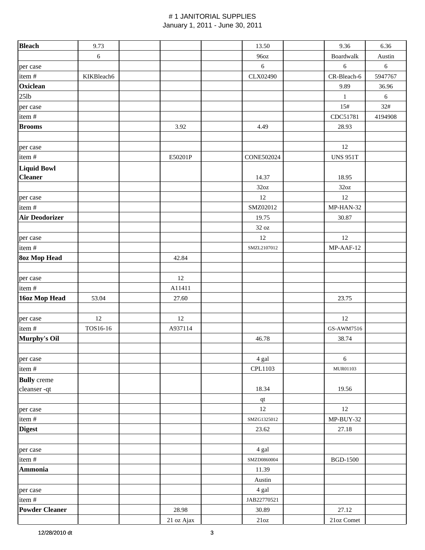| <b>Bleach</b>         | 9.73       |            | 13.50             | 9.36             | 6.36       |
|-----------------------|------------|------------|-------------------|------------------|------------|
|                       | $6\,$      |            | 96oz              | <b>Boardwalk</b> | Austin     |
| per case              |            |            | $6\,$             | $\sqrt{6}$       | $\sqrt{6}$ |
| item#                 | KIKBleach6 |            | CLX02490          | CR-Bleach-6      | 5947767    |
| Oxiclean              |            |            |                   | 9.89             | 36.96      |
| $25$ lb               |            |            |                   | $\,1\,$          | $\sqrt{6}$ |
| per case              |            |            |                   | 15#              | 32#        |
| item#                 |            |            |                   | CDC51781         | 4194908    |
| <b>Brooms</b>         |            | 3.92       | 4.49              | 28.93            |            |
|                       |            |            |                   |                  |            |
| per case              |            |            |                   | 12               |            |
| item#                 |            | E50201P    | <b>CONE502024</b> | <b>UNS 951T</b>  |            |
| <b>Liquid Bowl</b>    |            |            |                   |                  |            |
| <b>Cleaner</b>        |            |            | 14.37             | 18.95            |            |
|                       |            |            | 32oz              | 32oz             |            |
| per case              |            |            | 12                | 12               |            |
| item#                 |            |            | SMZ02012          | MP-HAN-32        |            |
| <b>Air Deodorizer</b> |            |            | 19.75             | 30.87            |            |
|                       |            |            | $32\ \mathrm{oz}$ |                  |            |
| per case              |            |            | 12                | 12               |            |
| item#                 |            |            | SMZL2107012       | MP-AAF-12        |            |
| <b>80z Mop Head</b>   |            | 42.84      |                   |                  |            |
|                       |            |            |                   |                  |            |
| per case              |            | 12         |                   |                  |            |
| item#                 |            | A11411     |                   |                  |            |
| 16oz Mop Head         | 53.04      | 27.60      |                   | 23.75            |            |
|                       |            |            |                   |                  |            |
| per case              | 12         | 12         |                   | 12               |            |
| item#                 | TOS16-16   | A937114    |                   | GS-AWM7516       |            |
| Murphy's Oil          |            |            | 46.78             | 38.74            |            |
|                       |            |            |                   |                  |            |
| per case              |            |            | 4 gal             | $6\,$            |            |
| item#                 |            |            | CPL1103           | MUR01103         |            |
| <b>Bully</b> creme    |            |            |                   |                  |            |
| cleanser-qt           |            |            | 18.34             | 19.56            |            |
|                       |            |            | qt                |                  |            |
| per case              |            |            | 12                | 12               |            |
| item#                 |            |            | SMZG1325012       | $MP-BUY-32$      |            |
| <b>Digest</b>         |            |            | 23.62             | 27.18            |            |
|                       |            |            |                   |                  |            |
| per case              |            |            | 4 gal             |                  |            |
| item#                 |            |            | SMZD0860004       | <b>BGD-1500</b>  |            |
| <b>Ammonia</b>        |            |            | 11.39             |                  |            |
|                       |            |            | Austin            |                  |            |
| per case              |            |            | 4 gal             |                  |            |
| item#                 |            |            | JAB22770521       |                  |            |
| <b>Powder Cleaner</b> |            | 28.98      | 30.89             | 27.12            |            |
|                       |            | 21 oz Ajax | 21oz              | $21$ oz Comet    |            |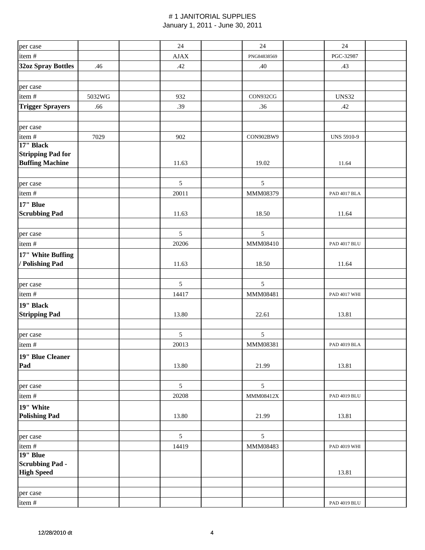| per case                                           |        | 24                                                                                                                                   | 24             | 24                  |
|----------------------------------------------------|--------|--------------------------------------------------------------------------------------------------------------------------------------|----------------|---------------------|
| item#                                              |        | $\ensuremath{\mbox{\textbf{A}}\mbox{\textbf{J}}}\xspace \ensuremath{\mbox{\textbf{A}}}\xspace \ensuremath{\mbox{\textbf{X}}}\xspace$ | PNG84838569    | PGC-32987           |
| <b>32oz Spray Bottles</b>                          | .46    | .42                                                                                                                                  | .40            | .43                 |
| per case                                           |        |                                                                                                                                      |                |                     |
| item#                                              | 5032WG | 932                                                                                                                                  | CON932CG       | <b>UNS32</b>        |
| <b>Trigger Sprayers</b>                            | .66    | .39                                                                                                                                  | .36            | .42                 |
| per case                                           |        |                                                                                                                                      |                |                     |
| item#                                              | 7029   | 902                                                                                                                                  | CON902BW9      | <b>UNS 5910-9</b>   |
| 17" Black                                          |        |                                                                                                                                      |                |                     |
| <b>Stripping Pad for</b><br><b>Buffing Machine</b> |        | 11.63                                                                                                                                | 19.02          | 11.64               |
|                                                    |        |                                                                                                                                      |                |                     |
| per case                                           |        | 5                                                                                                                                    | $\mathfrak{S}$ |                     |
| item#                                              |        | 20011                                                                                                                                | MMM08379       | <b>PAD 4017 BLA</b> |
| 17" Blue<br><b>Scrubbing Pad</b>                   |        | 11.63                                                                                                                                | 18.50          | 11.64               |
|                                                    |        |                                                                                                                                      |                |                     |
| per case                                           |        | 5                                                                                                                                    | $\sqrt{5}$     |                     |
| item#                                              |        | 20206                                                                                                                                | MMM08410       | <b>PAD 4017 BLU</b> |
| 17" White Buffing<br>/ Polishing Pad               |        | 11.63                                                                                                                                | 18.50          | 11.64               |
|                                                    |        |                                                                                                                                      |                |                     |
| per case                                           |        | 5                                                                                                                                    | $\mathfrak{S}$ |                     |
| item#                                              |        | 14417                                                                                                                                | MMM08481       | PAD 4017 WHI        |
| 19" Black<br><b>Stripping Pad</b>                  |        | 13.80                                                                                                                                | 22.61          | 13.81               |
|                                                    |        |                                                                                                                                      |                |                     |
| per case                                           |        | 5                                                                                                                                    | 5              |                     |
| item#                                              |        | 20013                                                                                                                                | MMM08381       | PAD 4019 BLA        |
| 19" Blue Cleaner                                   |        |                                                                                                                                      |                |                     |
| Pad                                                |        | 13.80                                                                                                                                | 21.99          | 13.81               |
|                                                    |        |                                                                                                                                      |                |                     |
| per case                                           |        | 5                                                                                                                                    | $\sqrt{5}$     |                     |
| item#                                              |        | 20208                                                                                                                                | MMM08412X      | <b>PAD 4019 BLU</b> |
| 19" White                                          |        |                                                                                                                                      |                |                     |
| <b>Polishing Pad</b>                               |        | 13.80                                                                                                                                | 21.99          | 13.81               |
| per case                                           |        | 5                                                                                                                                    | 5              |                     |
| item#                                              |        | 14419                                                                                                                                | MMM08483       | PAD 4019 WHI        |
| 19" Blue                                           |        |                                                                                                                                      |                |                     |
| <b>Scrubbing Pad -</b>                             |        |                                                                                                                                      |                |                     |
| <b>High Speed</b>                                  |        |                                                                                                                                      |                | 13.81               |
|                                                    |        |                                                                                                                                      |                |                     |
| per case                                           |        |                                                                                                                                      |                |                     |
| item#                                              |        |                                                                                                                                      |                | PAD 4019 BLU        |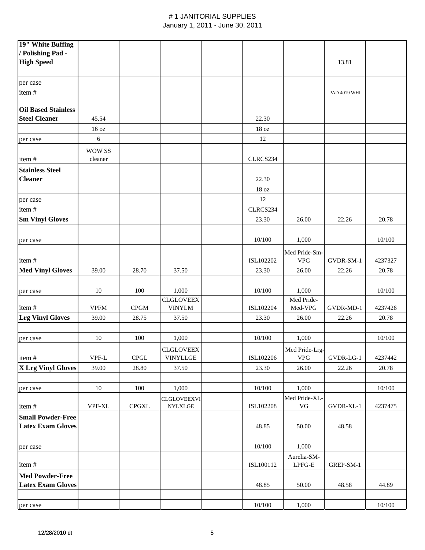| 19" White Buffing          |                                      |                              |                                      |                  |                        |              |         |
|----------------------------|--------------------------------------|------------------------------|--------------------------------------|------------------|------------------------|--------------|---------|
| / Polishing Pad -          |                                      |                              |                                      |                  |                        |              |         |
| <b>High Speed</b>          |                                      |                              |                                      |                  |                        | 13.81        |         |
|                            |                                      |                              |                                      |                  |                        |              |         |
| per case                   |                                      |                              |                                      |                  |                        |              |         |
| item#                      |                                      |                              |                                      |                  |                        | PAD 4019 WHI |         |
|                            |                                      |                              |                                      |                  |                        |              |         |
| <b>Oil Based Stainless</b> |                                      |                              |                                      |                  |                        |              |         |
| <b>Steel Cleaner</b>       | 45.54                                |                              |                                      | 22.30            |                        |              |         |
|                            | 16 oz                                |                              |                                      | 18 <sub>oz</sub> |                        |              |         |
| per case                   | 6                                    |                              |                                      | 12               |                        |              |         |
|                            |                                      |                              |                                      |                  |                        |              |         |
|                            | <b>WOW SS</b>                        |                              |                                      |                  |                        |              |         |
| item#                      | cleaner                              |                              |                                      | CLRCS234         |                        |              |         |
| <b>Stainless Steel</b>     |                                      |                              |                                      |                  |                        |              |         |
| <b>Cleaner</b>             |                                      |                              |                                      | 22.30            |                        |              |         |
|                            |                                      |                              |                                      | 18 <sub>oz</sub> |                        |              |         |
| per case                   |                                      |                              |                                      | 12               |                        |              |         |
| item#                      |                                      |                              |                                      | CLRCS234         |                        |              |         |
| <b>Sm Vinyl Gloves</b>     |                                      |                              |                                      | 23.30            | 26.00                  | 22.26        | 20.78   |
|                            |                                      |                              |                                      |                  |                        |              |         |
|                            |                                      |                              |                                      | 10/100           | 1,000                  |              | 10/100  |
| per case                   |                                      |                              |                                      |                  |                        |              |         |
|                            |                                      |                              |                                      |                  | Med Pride-Sm-          |              |         |
| item#                      |                                      |                              |                                      | ISL102202        | <b>VPG</b>             | GVDR-SM-1    | 4237327 |
| <b>Med Vinyl Gloves</b>    | 39.00                                | 28.70                        | 37.50                                | 23.30            | 26.00                  | 22.26        | 20.78   |
|                            |                                      |                              |                                      |                  |                        |              |         |
| per case                   | 10                                   | 100                          | 1,000                                | 10/100           | 1,000                  |              | 10/100  |
|                            |                                      |                              | <b>CLGLOVEEX</b>                     |                  | Med Pride-             |              |         |
| item#                      | <b>VPFM</b>                          | CPGM                         | <b>VINYLM</b>                        | ISL102204        | Med-VPG                | GVDR-MD-1    | 4237426 |
| <b>Lrg Vinyl Gloves</b>    | 39.00                                | 28.75                        | 37.50                                | 23.30            | 26.00                  | 22.26        | 20.78   |
|                            |                                      |                              |                                      |                  |                        |              |         |
| per case                   | 10                                   | 100                          | 1,000                                | 10/100           | 1,000                  |              | 10/100  |
|                            |                                      |                              | <b>CLGLOVEEX</b>                     |                  | Med Pride-Lrg-         |              |         |
| item#                      | $\ensuremath{\mathsf{VPF\text{-}L}}$ | $\ensuremath{\mathsf{CPGL}}$ | <b>VINYLLGE</b>                      | ISL102206        | <b>VPG</b>             | GVDR-LG-1    | 4237442 |
| X Lrg Vinyl Gloves         | 39.00                                | 28.80                        | 37.50                                | 23.30            | 26.00                  | 22.26        | 20.78   |
|                            |                                      |                              |                                      |                  |                        |              |         |
|                            | 10                                   | 100                          | 1,000                                | 10/100           | 1,000                  |              | 10/100  |
| per case                   |                                      |                              |                                      |                  |                        |              |         |
| item#                      | VPF-XL                               | $\rm{CPGXL}$                 | <b>CLGLOVEEXVI</b><br><b>NYLXLGE</b> | ISL102208        | Med Pride-XL-<br>VG    | GVDR-XL-1    | 4237475 |
|                            |                                      |                              |                                      |                  |                        |              |         |
| <b>Small Powder-Free</b>   |                                      |                              |                                      |                  |                        |              |         |
| <b>Latex Exam Gloves</b>   |                                      |                              |                                      | 48.85            | 50.00                  | 48.58        |         |
|                            |                                      |                              |                                      |                  |                        |              |         |
| per case                   |                                      |                              |                                      | 10/100           | 1,000                  |              |         |
|                            |                                      |                              |                                      |                  | Aurelia-SM-            |              |         |
| item#                      |                                      |                              |                                      | ISL100112        | ${\rm L PFG\text{-}E}$ | GREP-SM-1    |         |
| <b>Med Powder-Free</b>     |                                      |                              |                                      |                  |                        |              |         |
| <b>Latex Exam Gloves</b>   |                                      |                              |                                      | 48.85            | 50.00                  | 48.58        | 44.89   |
|                            |                                      |                              |                                      |                  |                        |              |         |
| per case                   |                                      |                              |                                      | 10/100           | 1,000                  |              | 10/100  |
|                            |                                      |                              |                                      |                  |                        |              |         |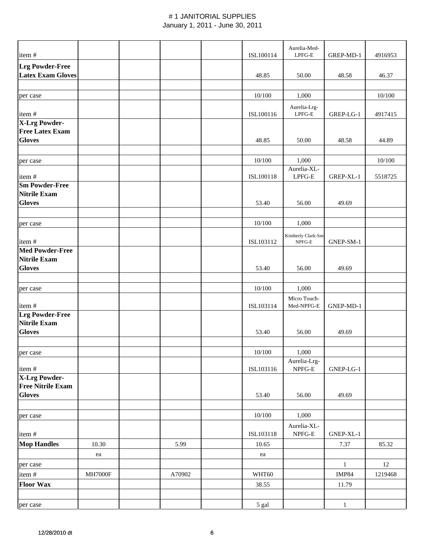| item#                                     |               |        | Aurelia-Med-<br>ISL100114<br>${LPFG-E}$ |                                                      | GREP-MD-1    | 4916953 |
|-------------------------------------------|---------------|--------|-----------------------------------------|------------------------------------------------------|--------------|---------|
| <b>Lrg Powder-Free</b>                    |               |        |                                         |                                                      |              |         |
| <b>Latex Exam Gloves</b>                  |               |        | 48.85                                   | 50.00                                                | 48.58        | 46.37   |
|                                           |               |        |                                         |                                                      |              |         |
| per case                                  |               |        | 10/100                                  | 1,000                                                |              | 10/100  |
| item#                                     |               |        | ISL100116                               | Aurelia-Lrg-<br>$LPFG-E$                             | GREP-LG-1    | 4917415 |
| <b>X-Lrg Powder-</b>                      |               |        |                                         |                                                      |              |         |
| <b>Free Latex Exam</b><br><b>Gloves</b>   |               |        | 48.85                                   | 50.00                                                | 48.58        | 44.89   |
| per case                                  |               |        | 10/100                                  | 1,000                                                |              | 10/100  |
| item#                                     |               |        | ISL100118                               | Aurelia-XL-<br>$LPFG-E$                              | GREP-XL-1    | 5518725 |
| <b>Sm Powder-Free</b>                     |               |        |                                         |                                                      |              |         |
| <b>Nitrile Exam</b>                       |               |        |                                         |                                                      |              |         |
| <b>Gloves</b>                             |               |        | 53.40                                   | 56.00                                                | 49.69        |         |
| per case                                  |               |        | 10/100                                  | 1,000                                                |              |         |
|                                           |               |        |                                         |                                                      |              |         |
| item#                                     |               |        | ISL103112                               | Kimberly Clark-Sm-<br>NPFG-E                         | GNEP-SM-1    |         |
| <b>Med Powder-Free</b>                    |               |        |                                         |                                                      |              |         |
| <b>Nitrile Exam</b>                       |               |        |                                         |                                                      |              |         |
| <b>Gloves</b>                             |               |        | 53.40                                   | 56.00                                                | 49.69        |         |
| per case                                  |               |        | 10/100                                  | 1,000                                                |              |         |
| item#<br><b>Lrg Powder-Free</b>           |               |        | ISL103114                               | Micro Touch-<br>Med-NPFG-E                           | GNEP-MD-1    |         |
| <b>Nitrile Exam</b>                       |               |        |                                         |                                                      |              |         |
| <b>Gloves</b>                             |               |        | 53.40                                   | 56.00                                                | 49.69        |         |
| per case                                  |               |        | $10/100$                                | 1,000                                                |              |         |
| item#                                     |               |        | ISL103116                               | Aurelia-Lrg-<br>NPFG-E                               | GNEP-LG-1    |         |
| <b>X-Lrg Powder-</b>                      |               |        |                                         |                                                      |              |         |
| <b>Free Nitrile Exam</b><br><b>Gloves</b> |               |        | 53.40                                   | 56.00                                                | 49.69        |         |
|                                           |               |        |                                         |                                                      |              |         |
| per case                                  |               |        | $10/100\,$                              | 1,000                                                |              |         |
| item#                                     |               |        | ISL103118                               | Aurelia-XL-<br>$\ensuremath{\mathsf{NPFG\text{-}E}}$ | GNEP-XL-1    |         |
| <b>Mop Handles</b>                        | 10.30         | 5.99   | 10.65                                   |                                                      | 7.37         | 85.32   |
|                                           | ea            |        | ea                                      |                                                      |              |         |
| per case                                  |               |        |                                         |                                                      | $\mathbf{1}$ | 12      |
| item#                                     | $\rm MH7000F$ | A70902 | WHT60                                   |                                                      | <b>IMP84</b> | 1219468 |
| <b>Floor Wax</b>                          |               |        | 38.55                                   |                                                      | 11.79        |         |
| per case                                  |               |        | 5 gal                                   |                                                      | $\mathbf{1}$ |         |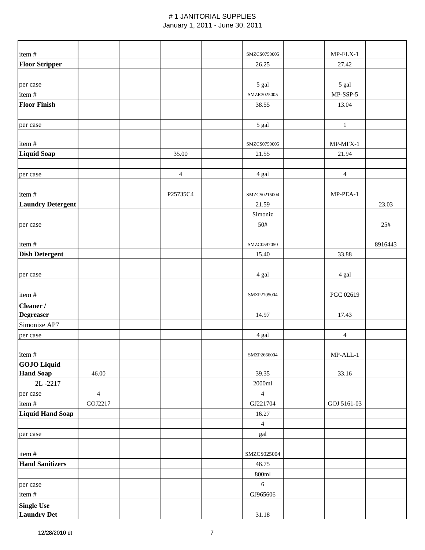| item#                                   |                |                | SMZCS0750005       | $MP$ -FLX-1    |         |
|-----------------------------------------|----------------|----------------|--------------------|----------------|---------|
| <b>Floor Stripper</b>                   |                |                | 26.25              | 27.42          |         |
|                                         |                |                |                    |                |         |
| per case                                |                |                | 5 gal              | 5 gal          |         |
| item#                                   |                |                | SMZR3025005        | $MP-SSP-5$     |         |
| <b>Floor Finish</b>                     |                |                | 38.55              | 13.04          |         |
|                                         |                |                |                    |                |         |
| per case                                |                |                | 5 gal              | $\mathbf{1}$   |         |
|                                         |                |                |                    |                |         |
| item#                                   |                |                | SMZCS0750005       | MP-MFX-1       |         |
| <b>Liquid Soap</b>                      |                | 35.00          | 21.55              | 21.94          |         |
|                                         |                |                |                    |                |         |
| per case                                |                | $\overline{4}$ | 4 gal              | $\overline{4}$ |         |
|                                         |                |                |                    |                |         |
| item#                                   |                | P25735C4       | SMZCS0215004       | MP-PEA-1       |         |
| <b>Laundry Detergent</b>                |                |                | 21.59              |                | 23.03   |
|                                         |                |                | Simoniz            |                |         |
| per case                                |                |                | 50#                |                | 25#     |
|                                         |                |                |                    |                |         |
| item#                                   |                |                | SMZC0597050        |                | 8916443 |
| <b>Dish Detergent</b>                   |                |                | 15.40              | 33.88          |         |
|                                         |                |                |                    |                |         |
| per case                                |                |                | 4 gal              | 4 gal          |         |
|                                         |                |                |                    |                |         |
| item#                                   |                |                | SMZP2705004        | PGC 02619      |         |
| Cleaner /                               |                |                |                    |                |         |
| <b>Degreaser</b>                        |                |                | 14.97              | 17.43          |         |
| Simonize AP7                            |                |                |                    |                |         |
| per case                                |                |                | 4 gal              | $\overline{4}$ |         |
|                                         |                |                |                    |                |         |
| item#                                   |                |                | SMZP2666004        | $MP-ALL-1$     |         |
| <b>GOJO Liquid</b><br><b>Hand Soap</b>  | 46.00          |                | 39.35              | 33.16          |         |
| 2L-2217                                 |                |                | $2000 \mathrm{ml}$ |                |         |
|                                         | $\overline{4}$ |                | $\overline{4}$     |                |         |
| per case<br>item#                       | GOJ2217        |                | GJ221704           | GOJ 5161-03    |         |
| Liquid Hand Soap                        |                |                | 16.27              |                |         |
|                                         |                |                | $\overline{4}$     |                |         |
| per case                                |                |                | gal                |                |         |
|                                         |                |                |                    |                |         |
| item#                                   |                |                | SMZCS025004        |                |         |
| <b>Hand Sanitizers</b>                  |                |                | 46.75              |                |         |
|                                         |                |                | $800 \mathrm{ml}$  |                |         |
| per case                                |                |                | $6\phantom{a}$     |                |         |
| item #                                  |                |                | GJ965606           |                |         |
|                                         |                |                |                    |                |         |
| <b>Single Use</b><br><b>Laundry Det</b> |                |                | 31.18              |                |         |
|                                         |                |                |                    |                |         |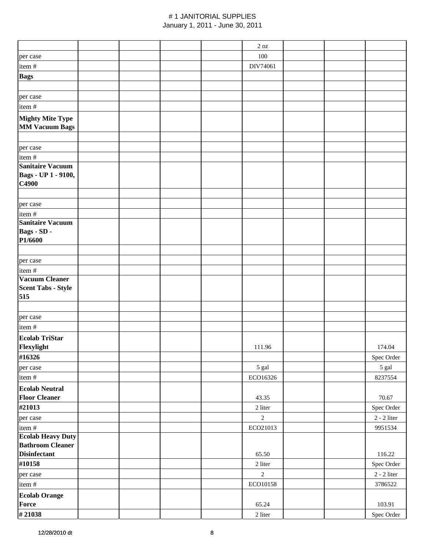|                                                     |  |  | $2\ \mathrm{oz}$ |  |                 |
|-----------------------------------------------------|--|--|------------------|--|-----------------|
| per case                                            |  |  | 100              |  |                 |
| item#                                               |  |  | DIV74061         |  |                 |
| <b>Bags</b>                                         |  |  |                  |  |                 |
|                                                     |  |  |                  |  |                 |
| per case                                            |  |  |                  |  |                 |
| item#                                               |  |  |                  |  |                 |
|                                                     |  |  |                  |  |                 |
| <b>Mighty Mite Type</b>                             |  |  |                  |  |                 |
| <b>MM Vacuum Bags</b>                               |  |  |                  |  |                 |
|                                                     |  |  |                  |  |                 |
| per case                                            |  |  |                  |  |                 |
| item#                                               |  |  |                  |  |                 |
| <b>Sanitaire Vacuum</b>                             |  |  |                  |  |                 |
| Bags - UP 1 - 9100,                                 |  |  |                  |  |                 |
| C4900                                               |  |  |                  |  |                 |
|                                                     |  |  |                  |  |                 |
| per case                                            |  |  |                  |  |                 |
| item#                                               |  |  |                  |  |                 |
| <b>Sanitaire Vacuum</b>                             |  |  |                  |  |                 |
| Bags - SD -                                         |  |  |                  |  |                 |
| P1/6600                                             |  |  |                  |  |                 |
|                                                     |  |  |                  |  |                 |
| per case                                            |  |  |                  |  |                 |
| item #                                              |  |  |                  |  |                 |
| <b>Vacuum Cleaner</b>                               |  |  |                  |  |                 |
| <b>Scent Tabs - Style</b>                           |  |  |                  |  |                 |
| 515                                                 |  |  |                  |  |                 |
|                                                     |  |  |                  |  |                 |
| per case                                            |  |  |                  |  |                 |
| item#                                               |  |  |                  |  |                 |
| <b>Ecolab TriStar</b>                               |  |  |                  |  |                 |
| Flexylight                                          |  |  | 111.96           |  | 174.04          |
| #16326                                              |  |  |                  |  | Spec Order      |
| per case                                            |  |  | 5 gal            |  | 5 gal           |
| item #                                              |  |  | ECO16326         |  | 8237554         |
| <b>Ecolab Neutral</b>                               |  |  |                  |  |                 |
| <b>Floor Cleaner</b>                                |  |  | 43.35            |  | 70.67           |
| #21013                                              |  |  | 2 liter          |  | Spec Order      |
|                                                     |  |  | $\overline{2}$   |  |                 |
| per case                                            |  |  |                  |  | $2$ - $2$ liter |
| item#                                               |  |  | ECO21013         |  | 9951534         |
| <b>Ecolab Heavy Duty</b><br><b>Bathroom Cleaner</b> |  |  |                  |  |                 |
| <b>Disinfectant</b>                                 |  |  | 65.50            |  | 116.22          |
| #10158                                              |  |  | 2 liter          |  |                 |
|                                                     |  |  |                  |  | Spec Order      |
| per case                                            |  |  | $\overline{2}$   |  | $2$ - $2$ liter |
| item #                                              |  |  | ECO10158         |  | 3786522         |
| <b>Ecolab Orange</b>                                |  |  |                  |  |                 |
| Force                                               |  |  | 65.24            |  | 103.91          |
| #21038                                              |  |  | 2 liter          |  | Spec Order      |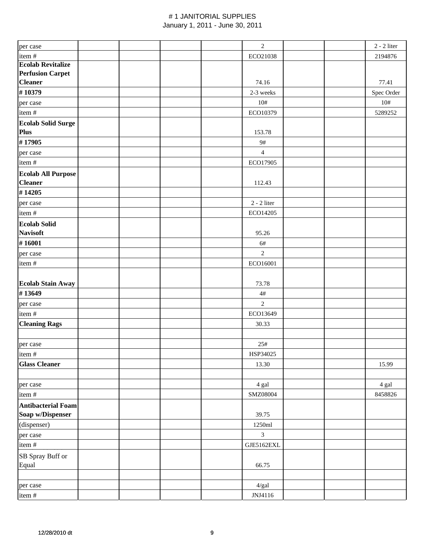| per case                  |  |  | $\overline{2}$   |  | $2 - 2$ liter |
|---------------------------|--|--|------------------|--|---------------|
| item #                    |  |  | ECO21038         |  | 2194876       |
| <b>Ecolab Revitalize</b>  |  |  |                  |  |               |
| <b>Perfusion Carpet</b>   |  |  |                  |  |               |
| <b>Cleaner</b>            |  |  | 74.16            |  | 77.41         |
| #10379                    |  |  | 2-3 weeks        |  | Spec Order    |
| per case                  |  |  | 10#              |  | 10#           |
| item#                     |  |  | ECO10379         |  | 5289252       |
| <b>Ecolab Solid Surge</b> |  |  |                  |  |               |
| Plus                      |  |  | 153.78           |  |               |
| #17905                    |  |  | 9#               |  |               |
| per case                  |  |  | $\overline{4}$   |  |               |
| item#                     |  |  | ECO17905         |  |               |
| <b>Ecolab All Purpose</b> |  |  |                  |  |               |
| <b>Cleaner</b>            |  |  | 112.43           |  |               |
| #14205                    |  |  |                  |  |               |
| per case                  |  |  | $2 - 2$ liter    |  |               |
| item#                     |  |  | ECO14205         |  |               |
| <b>Ecolab Solid</b>       |  |  |                  |  |               |
| <b>Navisoft</b>           |  |  | 95.26            |  |               |
| #16001                    |  |  | 6#               |  |               |
| per case                  |  |  | $\overline{2}$   |  |               |
| item#                     |  |  | ECO16001         |  |               |
|                           |  |  |                  |  |               |
| <b>Ecolab Stain Away</b>  |  |  | 73.78            |  |               |
| #13649                    |  |  | $4\#$            |  |               |
| per case                  |  |  | $\overline{2}$   |  |               |
| item #                    |  |  | ECO13649         |  |               |
| <b>Cleaning Rags</b>      |  |  | 30.33            |  |               |
|                           |  |  |                  |  |               |
| per case                  |  |  | 25#              |  |               |
| item#                     |  |  | HSP34025         |  |               |
| <b>Glass Cleaner</b>      |  |  | 13.30            |  | 15.99         |
|                           |  |  |                  |  |               |
| per case                  |  |  | 4 gal            |  | 4 gal         |
| item#                     |  |  | SMZ08004         |  | 8458826       |
| <b>Antibacterial Foam</b> |  |  |                  |  |               |
| Soap w/Dispenser          |  |  | 39.75            |  |               |
| (dispenser)               |  |  | $1250 \mbox{ml}$ |  |               |
| per case                  |  |  | $\overline{3}$   |  |               |
| item#                     |  |  | GJE5162EXL       |  |               |
| SB Spray Buff or          |  |  |                  |  |               |
| Equal                     |  |  | 66.75            |  |               |
|                           |  |  |                  |  |               |
| per case                  |  |  | 4/gal            |  |               |
|                           |  |  | JNJ4116          |  |               |
| item#                     |  |  |                  |  |               |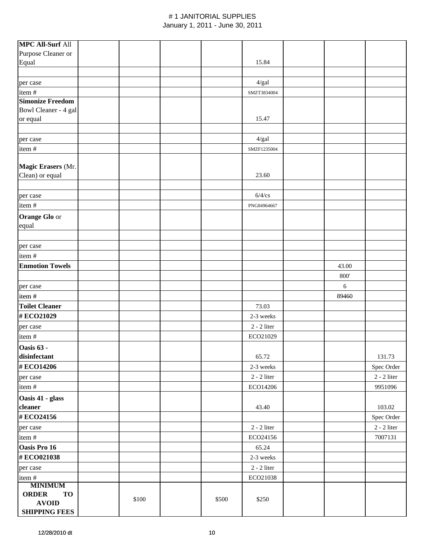| <b>MPC All-Surf All</b>                   |       |       |                 |       |                 |
|-------------------------------------------|-------|-------|-----------------|-------|-----------------|
| Purpose Cleaner or                        |       |       |                 |       |                 |
| Equal                                     |       |       | 15.84           |       |                 |
|                                           |       |       |                 |       |                 |
| per case                                  |       |       | 4/gal           |       |                 |
| item#                                     |       |       | SMZT3834004     |       |                 |
| <b>Simonize Freedom</b>                   |       |       |                 |       |                 |
| Bowl Cleaner - 4 gal                      |       |       |                 |       |                 |
| or equal                                  |       |       | 15.47           |       |                 |
|                                           |       |       |                 |       |                 |
| per case                                  |       |       | $4/gal$         |       |                 |
| item#                                     |       |       | SMZF1235004     |       |                 |
| Magic Erasers (Mr.                        |       |       |                 |       |                 |
| Clean) or equal                           |       |       | 23.60           |       |                 |
|                                           |       |       |                 |       |                 |
| per case                                  |       |       | $6/4$ /cs       |       |                 |
| item#                                     |       |       | PNG84964667     |       |                 |
| <b>Orange Glo or</b>                      |       |       |                 |       |                 |
| equal                                     |       |       |                 |       |                 |
|                                           |       |       |                 |       |                 |
| per case                                  |       |       |                 |       |                 |
| item#                                     |       |       |                 |       |                 |
| <b>Enmotion Towels</b>                    |       |       |                 | 43.00 |                 |
|                                           |       |       |                 | 800'  |                 |
| per case                                  |       |       |                 | 6     |                 |
| item#                                     |       |       |                 | 89460 |                 |
| <b>Toilet Cleaner</b>                     |       |       | 73.03           |       |                 |
| #ECO21029                                 |       |       | 2-3 weeks       |       |                 |
| per case                                  |       |       | $2 - 2$ liter   |       |                 |
| item#                                     |       |       | ECO21029        |       |                 |
| Oasis 63 -                                |       |       |                 |       |                 |
| disinfectant                              |       |       | 65.72           |       | 131.73          |
| #ECO14206                                 |       |       | 2-3 weeks       |       | Spec Order      |
| per case                                  |       |       | $2$ - $2$ liter |       | $2$ - $2$ liter |
| item#                                     |       |       | ECO14206        |       | 9951096         |
| Oasis 41 - glass                          |       |       |                 |       |                 |
| cleaner                                   |       |       | 43.40           |       | 103.02          |
| #ECO24156                                 |       |       |                 |       | Spec Order      |
| per case                                  |       |       | $2 - 2$ liter   |       | $2 - 2$ liter   |
| item#                                     |       |       | ECO24156        |       | 7007131         |
| Oasis Pro 16                              |       |       | 65.24           |       |                 |
| #ECO021038                                |       |       | 2-3 weeks       |       |                 |
| per case                                  |       |       | $2 - 2$ liter   |       |                 |
| item#                                     |       |       | ECO21038        |       |                 |
| <b>MINIMUM</b>                            |       |       |                 |       |                 |
|                                           |       |       |                 |       |                 |
| <b>ORDER</b><br><b>TO</b><br><b>AVOID</b> | \$100 | \$500 | \$250           |       |                 |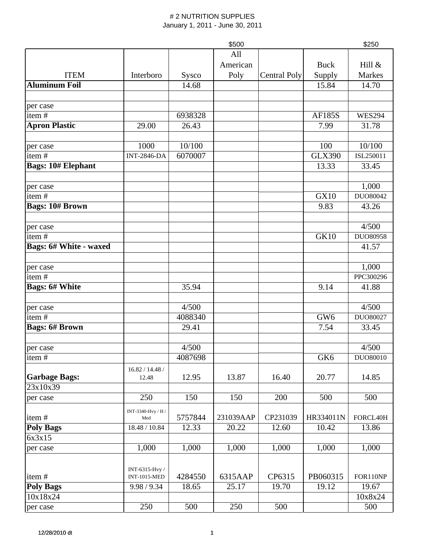|                               |                          |         | \$500     |                     |                 | \$250             |
|-------------------------------|--------------------------|---------|-----------|---------------------|-----------------|-------------------|
|                               |                          |         | All       |                     |                 |                   |
|                               |                          |         | American  |                     | <b>Buck</b>     | Hill &            |
| <b>ITEM</b>                   | Interboro                | Sysco   | Poly      | <b>Central Poly</b> | Supply          | Markes            |
| <b>Aluminum Foil</b>          |                          | 14.68   |           |                     | 15.84           | 14.70             |
|                               |                          |         |           |                     |                 |                   |
| per case                      |                          |         |           |                     |                 |                   |
| item $\frac{1}{t}$            |                          | 6938328 |           |                     | <b>AF185S</b>   | <b>WES294</b>     |
| <b>Apron Plastic</b>          | 29.00                    | 26.43   |           |                     | 7.99            | 31.78             |
|                               |                          |         |           |                     |                 |                   |
| per case                      | 1000                     | 10/100  |           |                     | 100             | 10/100            |
| item#                         | <b>INT-2846-DA</b>       | 6070007 |           |                     | <b>GLX390</b>   | ISL250011         |
| <b>Bags: 10# Elephant</b>     |                          |         |           |                     | 13.33           | 33.45             |
|                               |                          |         |           |                     |                 | 1,000             |
| per case<br>item#             |                          |         |           |                     | <b>GX10</b>     | DUO80042          |
| <b>Bags: 10# Brown</b>        |                          |         |           |                     | 9.83            | 43.26             |
|                               |                          |         |           |                     |                 |                   |
| per case                      |                          |         |           |                     |                 | 4/500             |
| item#                         |                          |         |           |                     | <b>GK10</b>     | DUO80958          |
| <b>Bags: 6# White - waxed</b> |                          |         |           |                     |                 | 41.57             |
|                               |                          |         |           |                     |                 |                   |
| per case                      |                          |         |           |                     |                 | 1,000             |
| item#                         |                          |         |           |                     |                 | PPC300296         |
| <b>Bags: 6# White</b>         |                          | 35.94   |           |                     | 9.14            | 41.88             |
|                               |                          |         |           |                     |                 |                   |
| per case                      |                          | 4/500   |           |                     |                 | 4/500             |
| item#                         |                          | 4088340 |           |                     | GW <sub>6</sub> | DUO80027          |
| <b>Bags: 6# Brown</b>         |                          | 29.41   |           |                     | 7.54            | 33.45             |
|                               |                          |         |           |                     |                 |                   |
| per case                      |                          | 4/500   |           |                     |                 | 4/500<br>DUO80010 |
| item $#$                      |                          | 4087698 |           |                     | GK6             |                   |
| <b>Garbage Bags:</b>          | 16.82 / 14.48 /<br>12.48 | 12.95   | 13.87     | 16.40               | 20.77           | 14.85             |
| 23x10x39                      |                          |         |           |                     |                 |                   |
| per case                      | 250                      | 150     | 150       | 200                 | 500             | 500               |
|                               | INT-3340-Hvy / H /       |         |           |                     |                 |                   |
| item#                         | Med                      | 5757844 | 231039AAP | CP231039            | HR334011N       | FORCL40H          |
| <b>Poly Bags</b>              | 18.48 / 10.84            | 12.33   | 20.22     | 12.60               | 10.42           | 13.86             |
| 6x3x15                        |                          |         |           |                     |                 |                   |
| per case                      | 1,000                    | 1,000   | 1,000     | 1,000               | 1,000           | 1,000             |
|                               |                          |         |           |                     |                 |                   |
|                               | INT-6315-Hvy /           |         |           |                     |                 |                   |
| item#                         | <b>INT-1015-MED</b>      | 4284550 | 6315AAP   | CP6315              | PB060315        | FOR110NP          |
| <b>Poly Bags</b>              | 9.98 / 9.34              | 18.65   | 25.17     | 19.70               | 19.12           | 19.67             |
| 10x18x24                      |                          |         |           |                     |                 | 10x8x24           |
| per case                      | 250                      | 500     | 250       | 500                 |                 | 500               |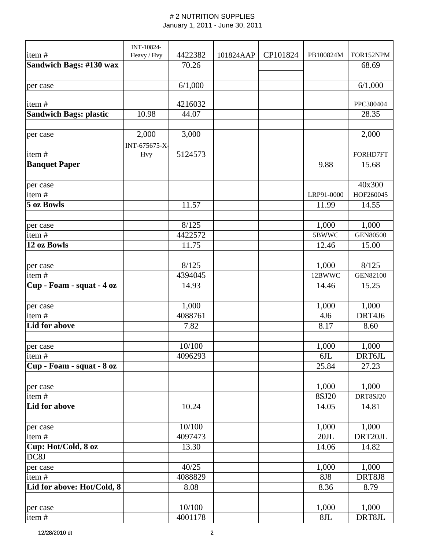|                               | INT-10824-    |         |           |          |                 |                 |
|-------------------------------|---------------|---------|-----------|----------|-----------------|-----------------|
| item#                         | Heavy / Hvy   | 4422382 | 101824AAP | CP101824 | PB100824M       | FOR152NPM       |
| Sandwich Bags: #130 wax       |               | 70.26   |           |          |                 | 68.69           |
| per case                      |               | 6/1,000 |           |          |                 | 6/1,000         |
| item#                         |               | 4216032 |           |          |                 | PPC300404       |
| <b>Sandwich Bags: plastic</b> | 10.98         | 44.07   |           |          |                 | 28.35           |
|                               |               |         |           |          |                 |                 |
| per case                      | 2,000         | 3,000   |           |          |                 | 2,000           |
|                               | INT-675675-X- |         |           |          |                 |                 |
| item#                         | <b>Hvy</b>    | 5124573 |           |          |                 | FORHD7FT        |
| <b>Banquet Paper</b>          |               |         |           |          | 9.88            | 15.68           |
|                               |               |         |           |          |                 |                 |
| per case                      |               |         |           |          |                 | 40x300          |
| item#                         |               |         |           |          | LRP91-0000      | HOF260045       |
| 5 oz Bowls                    |               | 11.57   |           |          | 11.99           | 14.55           |
|                               |               |         |           |          |                 |                 |
| per case                      |               | 8/125   |           |          | 1,000           | 1,000           |
| item#                         |               | 4422572 |           |          | 5BWWC           | <b>GEN80500</b> |
| 12 oz Bowls                   |               | 11.75   |           |          | 12.46           | 15.00           |
|                               |               |         |           |          |                 |                 |
| per case                      |               | 8/125   |           |          | 1,000           | 8/125           |
| item#                         |               | 4394045 |           |          | 12BWWC          | <b>GEN82100</b> |
| Cup - Foam - squat - 4 oz     |               | 14.93   |           |          | 14.46           | 15.25           |
|                               |               |         |           |          |                 |                 |
| per case                      |               | 1,000   |           |          | 1,000           | 1,000           |
| item#                         |               | 4088761 |           |          | 4J <sub>6</sub> | DRT4J6          |
| Lid for above                 |               | 7.82    |           |          | 8.17            | 8.60            |
|                               |               |         |           |          |                 |                 |
| per case                      |               | 10/100  |           |          | 1,000           | 1,000           |
| item#                         |               | 4096293 |           |          | 6JL             | DRT6JL          |
| Cup - Foam - squat - 8 oz     |               |         |           |          | 25.84           | 27.23           |
|                               |               |         |           |          |                 |                 |
| per case                      |               |         |           |          | 1,000           | 1,000           |
| item#                         |               |         |           |          | 8SJ20           | DRT8SJ20        |
| Lid for above                 |               | 10.24   |           |          | 14.05           | 14.81           |
|                               |               |         |           |          |                 |                 |
| per case                      |               | 10/100  |           |          | 1,000           | 1,000           |
| item #                        |               | 4097473 |           |          | 20JL            | DRT20JL         |
| Cup: Hot/Cold, 8 oz           |               | 13.30   |           |          | 14.06           | 14.82           |
| DC8J                          |               |         |           |          |                 |                 |
| per case                      |               | 40/25   |           |          | 1,000           | 1,000           |
| item#                         |               | 4088829 |           |          | <b>8J8</b>      | DRT8J8          |
| Lid for above: Hot/Cold, 8    |               | 8.08    |           |          | 8.36            | 8.79            |
|                               |               |         |           |          |                 |                 |
| per case                      |               | 10/100  |           |          | 1,000           | 1,000           |
| item#                         |               | 4001178 |           |          | 8JL             | DRT8JL          |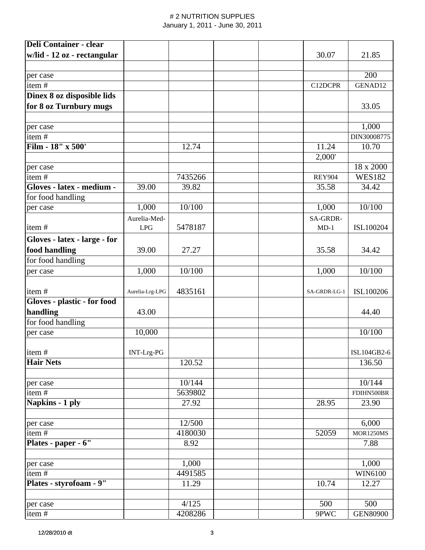| <b>Deli Container - clear</b> |                 |         |               |                  |
|-------------------------------|-----------------|---------|---------------|------------------|
| w/lid - 12 oz - rectangular   |                 |         | 30.07         | 21.85            |
|                               |                 |         |               |                  |
| per case                      |                 |         |               | 200              |
| item#                         |                 |         | C12DCPR       | GENAD12          |
| Dinex 8 oz disposible lids    |                 |         |               |                  |
| for 8 oz Turnbury mugs        |                 |         |               | 33.05            |
|                               |                 |         |               |                  |
| per case                      |                 |         |               | 1,000            |
| item#                         |                 |         |               | DIN30008775      |
| Film - 18" x 500'             |                 | 12.74   | 11.24         | 10.70            |
|                               |                 |         | 2,000'        |                  |
| per case                      |                 |         |               | 18 x 2000        |
| item#                         |                 | 7435266 | <b>REY904</b> | <b>WES182</b>    |
| Gloves - latex - medium -     | 39.00           | 39.82   | 35.58         | 34.42            |
| for food handling             |                 |         |               |                  |
| per case                      | 1,000           | 10/100  | 1,000         | 10/100           |
|                               | Aurelia-Med-    |         | SA-GRDR-      |                  |
| item#                         | LPG             | 5478187 | $MD-1$        | ISL100204        |
| Gloves - latex - large - for  |                 |         |               |                  |
| food handling                 | 39.00           | 27.27   | 35.58         | 34.42            |
| for food handling             |                 |         |               |                  |
| per case                      | 1,000           | 10/100  | 1,000         | 10/100           |
|                               |                 |         |               |                  |
| item#                         | Aurelia-Lrg-LPG | 4835161 | SA-GRDR-LG-1  | ISL100206        |
| Gloves - plastic - for food   |                 |         |               |                  |
| handling                      | 43.00           |         |               | 44.40            |
| for food handling             |                 |         |               |                  |
| per case                      | 10,000          |         |               | 10/100           |
|                               |                 |         |               |                  |
| item#                         | INT-Lrg-PG      |         |               | ISL104GB2-6      |
| <b>Hair Nets</b>              |                 | 120.52  |               | 136.50           |
|                               |                 |         |               |                  |
| per case                      |                 | 10/144  |               | 10/144           |
| item#                         |                 | 5639802 |               | FDIHN500BR       |
| Napkins - 1 ply               |                 | 27.92   | 28.95         | 23.90            |
|                               |                 |         |               |                  |
| per case                      |                 | 12/500  |               | 6,000            |
| item#                         |                 | 4180030 | 52059         | <b>MOR1250MS</b> |
| Plates - paper - 6"           |                 | 8.92    |               | 7.88             |
|                               |                 |         |               |                  |
| per case                      |                 | 1,000   |               | 1,000            |
| item#                         |                 | 4491585 |               | WIN6100          |
| Plates - styrofoam - 9"       |                 | 11.29   | 10.74         | 12.27            |
|                               |                 |         |               |                  |
| per case                      |                 | 4/125   | 500           | 500              |
| item#                         |                 | 4208286 | 9PWC          | <b>GEN80900</b>  |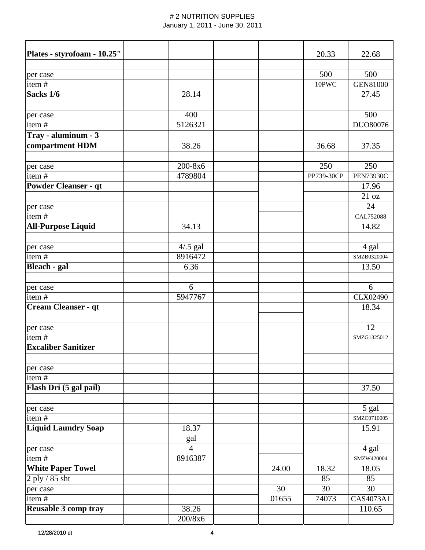| Plates - styrofoam - 10.25"         |                |       | 20.33      | 22.68            |
|-------------------------------------|----------------|-------|------------|------------------|
|                                     |                |       | 500        | 500              |
| per case<br>item $#$                |                |       | 10PWC      | <b>GEN81000</b>  |
| Sacks 1/6                           | 28.14          |       |            | 27.45            |
|                                     |                |       |            |                  |
| per case                            | 400            |       |            | 500              |
| item#                               | 5126321        |       |            | DUO80076         |
| Tray - aluminum - 3                 |                |       |            |                  |
| compartment HDM                     | 38.26          |       | 36.68      | 37.35            |
|                                     |                |       |            |                  |
| per case                            | 200-8x6        |       | 250        | 250              |
| item#                               | 4789804        |       | PP739-30CP | <b>PEN73930C</b> |
| <b>Powder Cleanser - qt</b>         |                |       |            | 17.96            |
|                                     |                |       |            | 21 oz            |
| per case                            |                |       |            | 24               |
| item#                               |                |       |            | CAL752088        |
| <b>All-Purpose Liquid</b>           | 34.13          |       |            | 14.82            |
|                                     |                |       |            |                  |
| per case                            | $4/0.5$ gal    |       |            | 4 gal            |
| item#                               | 8916472        |       |            | SMZB0320004      |
| <b>Bleach - gal</b>                 | 6.36           |       |            | 13.50            |
|                                     |                |       |            |                  |
| per case                            | 6              |       |            | 6                |
| item#                               | 5947767        |       |            | <b>CLX02490</b>  |
| Cream Cleanser - qt                 |                |       |            | 18.34            |
|                                     |                |       |            |                  |
| per case                            |                |       |            | 12               |
| item#<br><b>Excaliber Sanitizer</b> |                |       |            | SMZG1325012      |
|                                     |                |       |            |                  |
| per case                            |                |       |            |                  |
| item#                               |                |       |            |                  |
| Flash Dri (5 gal pail)              |                |       |            | 37.50            |
|                                     |                |       |            |                  |
| per case                            |                |       |            | 5 gal            |
| item#                               |                |       |            | SMZC0710005      |
| <b>Liquid Laundry Soap</b>          | 18.37          |       |            | 15.91            |
|                                     | gal            |       |            |                  |
| per case                            | $\overline{4}$ |       |            | 4 gal            |
| item#                               | 8916387        |       |            | SMZW420004       |
| <b>White Paper Towel</b>            |                | 24.00 | 18.32      | 18.05            |
| $2$ ply / 85 sht                    |                |       | 85         | 85               |
| per case                            |                | 30    | 30         | 30               |
| item#                               |                | 01655 | 74073      | CAS4073A1        |
| <b>Reusable 3 comp tray</b>         | 38.26          |       |            | 110.65           |
|                                     | 200/8x6        |       |            |                  |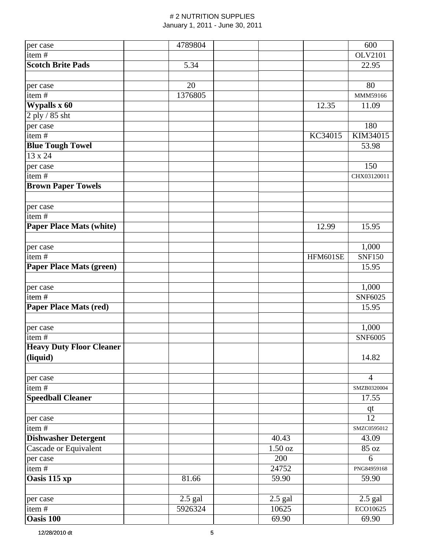| per case                        | 4789804   |           |                    | 600            |
|---------------------------------|-----------|-----------|--------------------|----------------|
| item#                           |           |           |                    | <b>OLV2101</b> |
| <b>Scotch Brite Pads</b>        | 5.34      |           |                    | 22.95          |
|                                 |           |           |                    |                |
| per case                        | 20        |           |                    | 80             |
| item#                           | 1376805   |           |                    | MMM59166       |
| Wypalls x 60                    |           |           | $\overline{12.35}$ | 11.09          |
| 2 ply / 85 sht                  |           |           |                    |                |
| per case                        |           |           |                    | 180            |
| item#                           |           |           | KC34015            | KIM34015       |
| <b>Blue Tough Towel</b>         |           |           |                    | 53.98          |
| 13 x 24                         |           |           |                    |                |
| per case                        |           |           |                    | 150            |
| item#                           |           |           |                    | CHX03120011    |
| <b>Brown Paper Towels</b>       |           |           |                    |                |
|                                 |           |           |                    |                |
| per case                        |           |           |                    |                |
| item#                           |           |           |                    |                |
| <b>Paper Place Mats (white)</b> |           |           | 12.99              | 15.95          |
|                                 |           |           |                    |                |
| per case                        |           |           |                    | 1,000          |
| item#                           |           |           | HFM601SE           | <b>SNF150</b>  |
| <b>Paper Place Mats (green)</b> |           |           |                    | 15.95          |
|                                 |           |           |                    |                |
| per case                        |           |           |                    | 1,000          |
| item#                           |           |           |                    | SNF6025        |
| <b>Paper Place Mats (red)</b>   |           |           |                    | 15.95          |
|                                 |           |           |                    |                |
| per case                        |           |           |                    | 1,000          |
| item#                           |           |           |                    | <b>SNF6005</b> |
| <b>Heavy Duty Floor Cleaner</b> |           |           |                    |                |
| (liquid)                        |           |           |                    | 14.82          |
|                                 |           |           |                    |                |
| per case                        |           |           |                    | $\overline{4}$ |
| item#                           |           |           |                    | SMZB0320004    |
| <b>Speedball Cleaner</b>        |           |           |                    | 17.55          |
|                                 |           |           |                    | $q$ t          |
| per case                        |           |           |                    | 12             |
| item#                           |           |           |                    | SMZC0595012    |
| <b>Dishwasher Detergent</b>     |           | 40.43     |                    | 43.09          |
| Cascade or Equivalent           |           | 1.50 oz   |                    | 85 oz          |
| per case                        |           | 200       |                    | 6              |
| item#                           |           | 24752     |                    | PNG84959168    |
| Oasis 115 xp                    | 81.66     | 59.90     |                    | 59.90          |
|                                 |           |           |                    |                |
| per case                        | $2.5$ gal | $2.5$ gal |                    | $2.5$ gal      |
| item $\frac{1}{t}$              | 5926324   | 10625     |                    | ECO10625       |
| Oasis 100                       |           | 69.90     |                    | 69.90          |